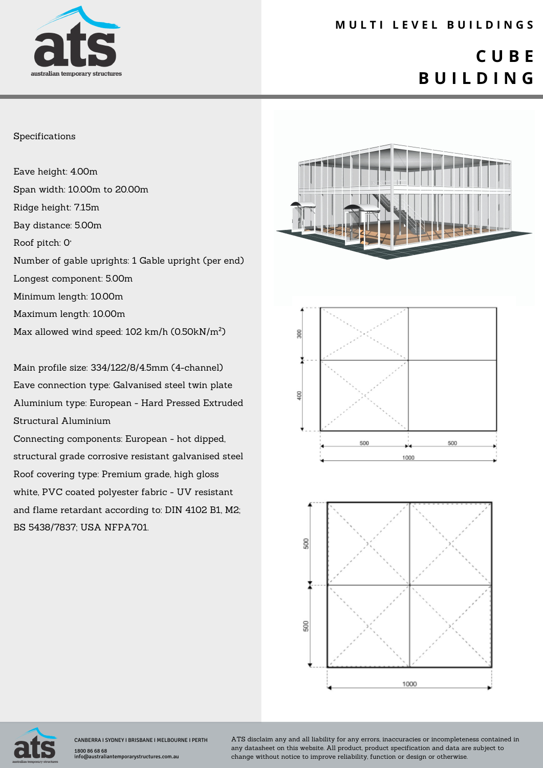

### **M U L T I L E V E L B U I L D I N G S**

# **C U B E B U I L D I N G**

#### Specifications

Eave height: 4.00m Span width: 10.00m to 20.00m Ridge height: 7.15m Bay distance: 5.00m Roof pitch: 0° Number of gable uprights: 1 Gable upright (per end) Longest component: 5.00m Minimum length: 10.00m Maximum length: 10.00m Max allowed wind speed: 102 km/h (0.50kN/m²)

Main profile size: 334/122/8/4.5mm (4-channel) Eave connection type: Galvanised steel twin plate Aluminium type: European - Hard Pressed Extruded Structural Aluminium

Connecting components: European - hot dipped, structural grade corrosive resistant galvanised steel Roof covering type: Premium grade, high gloss white, PVC coated polyester fabric - UV resistant and flame retardant according to: DIN 4102 B1, M2; BS 5438/7837; USA NFPA701.









CANBERRA I SYDNEY I BRISBANE I MELBOURNE I PERTH 1800 86 68 68 info@australiantemporarystructures.com.au

ATS disclaim any and all liability for any errors, inaccuracies or incompleteness contained in any datasheet on this website. All product, product specification and data are subject to change without notice to improve reliability, function or design or otherwise.